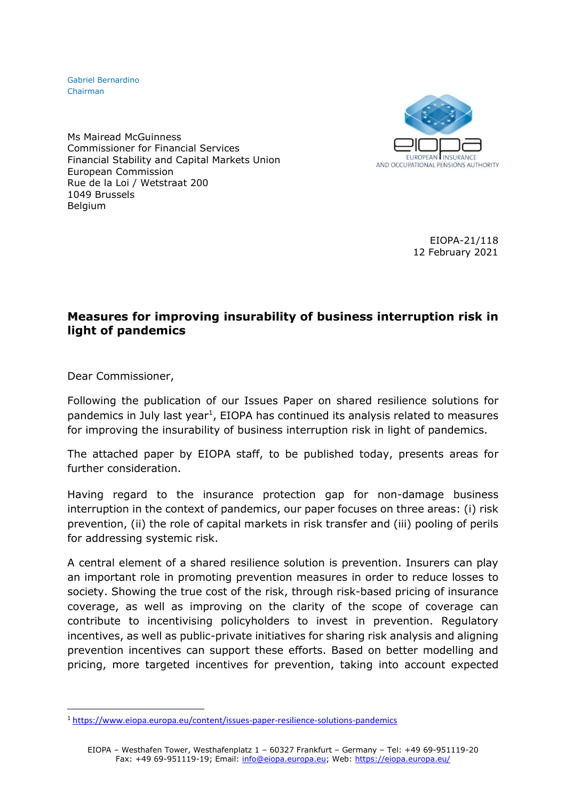Gabriel Bernardino Chairman

**EUROPEAN INSURANCE** AND OCCUPATIONAL PENSIONS AUTHORITY

Ms Mairead McGuinness Commissioner for Financial Services Financial Stability and Capital Markets Union European Commission Rue de la Loi / Wetstraat 200 1049 Brussels Belgium

> EIOPA-21/118 12 February 2021

## **Measures for improving insurability of business interruption risk in light of pandemics**

Dear Commissioner,

Following the publication of our Issues Paper on shared resilience solutions for pandemics in July last year<sup>1</sup>, EIOPA has continued its analysis related to measures for improving the insurability of business interruption risk in light of pandemics.

The attached paper by EIOPA staff, to be published today, presents areas for further consideration.

Having regard to the insurance protection gap for non-damage business interruption in the context of pandemics, our paper focuses on three areas: (i) risk prevention, (ii) the role of capital markets in risk transfer and (iii) pooling of perils for addressing systemic risk.

A central element of a shared resilience solution is prevention. Insurers can play an important role in promoting prevention measures in order to reduce losses to society. Showing the true cost of the risk, through risk-based pricing of insurance coverage, as well as improving on the clarity of the scope of coverage can contribute to incentivising policyholders to invest in prevention. Regulatory incentives, as well as public-private initiatives for sharing risk analysis and aligning prevention incentives can support these efforts. Based on better modelling and pricing, more targeted incentives for prevention, taking into account expected

<sup>1</sup> <https://www.eiopa.europa.eu/content/issues-paper-resilience-solutions-pandemics>

EIOPA – Westhafen Tower, Westhafenplatz 1 – 60327 Frankfurt – Germany – Tel: +49 69-951119-20 Fax: +49 69-951119-19; Email: [info@eiopa.europa.eu;](mailto:info@eiopa.europa.eu) Web:<https://eiopa.europa.eu/>